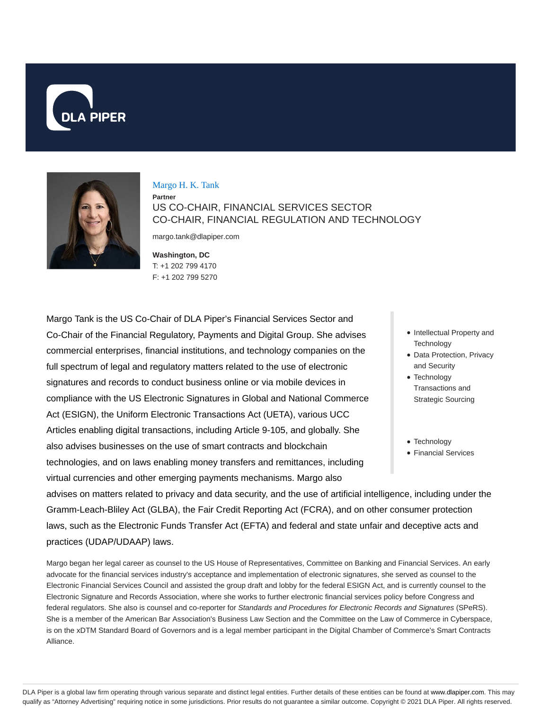



### Margo H. K. Tank

**Partner** US CO-CHAIR, FINANCIAL SERVICES SECTOR CO-CHAIR, FINANCIAL REGULATION AND TECHNOLOGY

margo.tank@dlapiper.com

**Washington, DC** T: +1 202 799 4170 F: +1 202 799 5270

Margo Tank is the US Co-Chair of DLA Piper's Financial Services Sector and Co-Chair of the Financial Regulatory, Payments and Digital Group. She advises commercial enterprises, financial institutions, and technology companies on the full spectrum of legal and regulatory matters related to the use of electronic signatures and records to conduct business online or via mobile devices in compliance with the US Electronic Signatures in Global and National Commerce Act (ESIGN), the Uniform Electronic Transactions Act (UETA), various UCC Articles enabling digital transactions, including Article 9-105, and globally. She also advises businesses on the use of smart contracts and blockchain technologies, and on laws enabling money transfers and remittances, including virtual currencies and other emerging payments mechanisms. Margo also

- Intellectual Property and **Technology**
- Data Protection, Privacy and Security
- Technology Transactions and Strategic Sourcing
- Technology
- Financial Services

advises on matters related to privacy and data security, and the use of artificial intelligence, including under the Gramm-Leach-Bliley Act (GLBA), the Fair Credit Reporting Act (FCRA), and on other consumer protection laws, such as the Electronic Funds Transfer Act (EFTA) and federal and state unfair and deceptive acts and practices (UDAP/UDAAP) laws.

Margo began her legal career as counsel to the US House of Representatives, Committee on Banking and Financial Services. An early advocate for the financial services industry's acceptance and implementation of electronic signatures, she served as counsel to the Electronic Financial Services Council and assisted the group draft and lobby for the federal ESIGN Act, and is currently counsel to the Electronic Signature and Records Association, where she works to further electronic financial services policy before Congress and federal regulators. She also is counsel and co-reporter for Standards and Procedures for Electronic Records and Signatures (SPeRS). She is a member of the American Bar Association's Business Law Section and the Committee on the Law of Commerce in Cyberspace, is on the xDTM Standard Board of Governors and is a legal member participant in the Digital Chamber of Commerce's Smart Contracts Alliance.

DLA Piper is a global law firm operating through various separate and distinct legal entities. Further details of these entities can be found at www.dlapiper.com. This may qualify as "Attorney Advertising" requiring notice in some jurisdictions. Prior results do not guarantee a similar outcome. Copyright © 2021 DLA Piper. All rights reserved.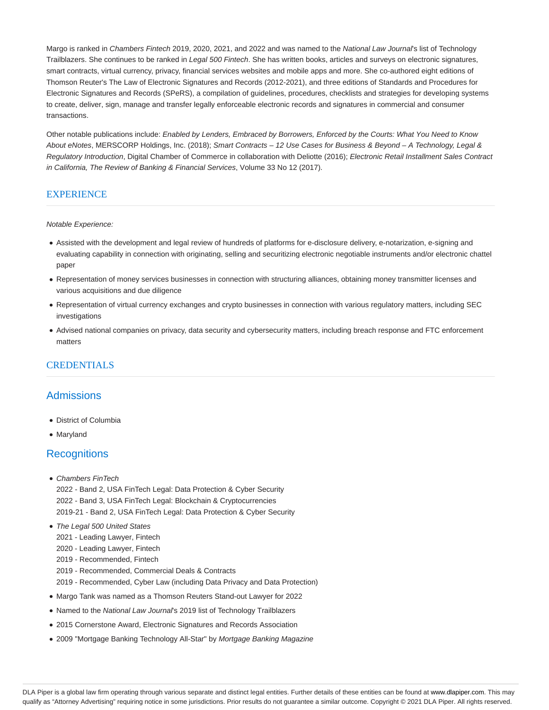Margo is ranked in Chambers Fintech 2019, 2020, 2021, and 2022 and was named to the National Law Journal's list of Technology Trailblazers. She continues to be ranked in Legal 500 Fintech. She has written books, articles and surveys on electronic signatures, smart contracts, virtual currency, privacy, financial services websites and mobile apps and more. She co-authored eight editions of Thomson Reuter's The Law of Electronic Signatures and Records (2012-2021), and three editions of Standards and Procedures for Electronic Signatures and Records (SPeRS), a compilation of guidelines, procedures, checklists and strategies for developing systems to create, deliver, sign, manage and transfer legally enforceable electronic records and signatures in commercial and consumer transactions.

Other notable publications include: Enabled by Lenders, Embraced by Borrowers, Enforced by the Courts: What You Need to Know About eNotes, MERSCORP Holdings, Inc. (2018); Smart Contracts – 12 Use Cases for Business & Beyond – A Technology, Legal & Regulatory Introduction, Digital Chamber of Commerce in collaboration with Deliotte (2016); Electronic Retail Installment Sales Contract in California, The Review of Banking & Financial Services, Volume 33 No 12 (2017).

# **EXPERIENCE**

#### Notable Experience:

- Assisted with the development and legal review of hundreds of platforms for e-disclosure delivery, e-notarization, e-signing and evaluating capability in connection with originating, selling and securitizing electronic negotiable instruments and/or electronic chattel paper
- Representation of money services businesses in connection with structuring alliances, obtaining money transmitter licenses and various acquisitions and due diligence
- Representation of virtual currency exchanges and crypto businesses in connection with various regulatory matters, including SEC investigations
- Advised national companies on privacy, data security and cybersecurity matters, including breach response and FTC enforcement matters

# **CREDENTIALS**

# Admissions

- District of Columbia
- Maryland

### **Recognitions**

- Chambers FinTech
	- 2022 Band 2, USA FinTech Legal: Data Protection & Cyber Security 2022 - Band 3, USA FinTech Legal: Blockchain & Cryptocurrencies 2019-21 - Band 2, USA FinTech Legal: Data Protection & Cyber Security
- The Legal 500 United States
	- 2021 Leading Lawyer, Fintech
- 2020 Leading Lawyer, Fintech
- 2019 Recommended, Fintech
- 2019 Recommended, Commercial Deals & Contracts
- 2019 Recommended, Cyber Law (including Data Privacy and Data Protection)
- Margo Tank was named as a Thomson Reuters Stand-out Lawyer for 2022
- Named to the National Law Journal's 2019 list of Technology Trailblazers
- 2015 Cornerstone Award, Electronic Signatures and Records Association
- 2009 "Mortgage Banking Technology All-Star" by Mortgage Banking Magazine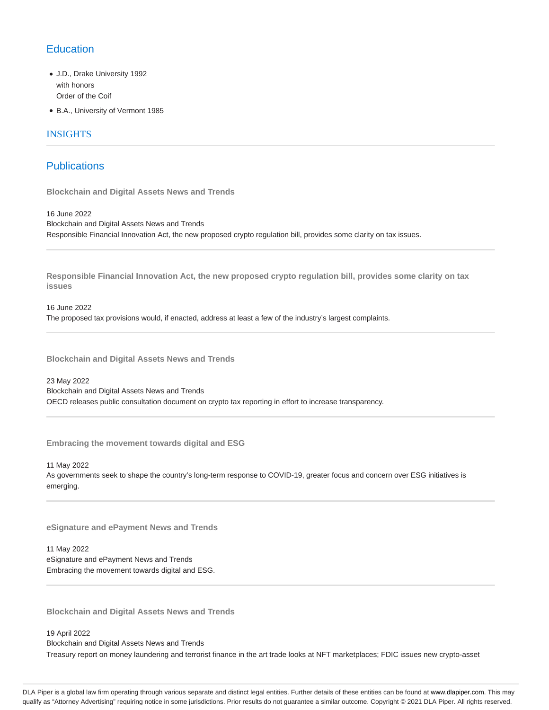# **Education**

- J.D., Drake University 1992 with honors Order of the Coif
- B.A., University of Vermont 1985

### INSIGHTS

# **Publications**

**Blockchain and Digital Assets News and Trends**

16 June 2022 Blockchain and Digital Assets News and Trends Responsible Financial Innovation Act, the new proposed crypto regulation bill, provides some clarity on tax issues.

**Responsible Financial Innovation Act, the new proposed crypto regulation bill, provides some clarity on tax issues**

16 June 2022 The proposed tax provisions would, if enacted, address at least a few of the industry's largest complaints.

**Blockchain and Digital Assets News and Trends**

23 May 2022 Blockchain and Digital Assets News and Trends OECD releases public consultation document on crypto tax reporting in effort to increase transparency.

**Embracing the movement towards digital and ESG**

11 May 2022 As governments seek to shape the country's long-term response to COVID-19, greater focus and concern over ESG initiatives is emerging.

**eSignature and ePayment News and Trends**

11 May 2022 eSignature and ePayment News and Trends Embracing the movement towards digital and ESG.

**Blockchain and Digital Assets News and Trends**

19 April 2022

Blockchain and Digital Assets News and Trends

Treasury report on money laundering and terrorist finance in the art trade looks at NFT marketplaces; FDIC issues new crypto-asset

DLA Piper is a global law firm operating through various separate and distinct legal entities. Further details of these entities can be found at www.dlapiper.com. This may qualify as "Attorney Advertising" requiring notice in some jurisdictions. Prior results do not guarantee a similar outcome. Copyright @ 2021 DLA Piper. All rights reserved.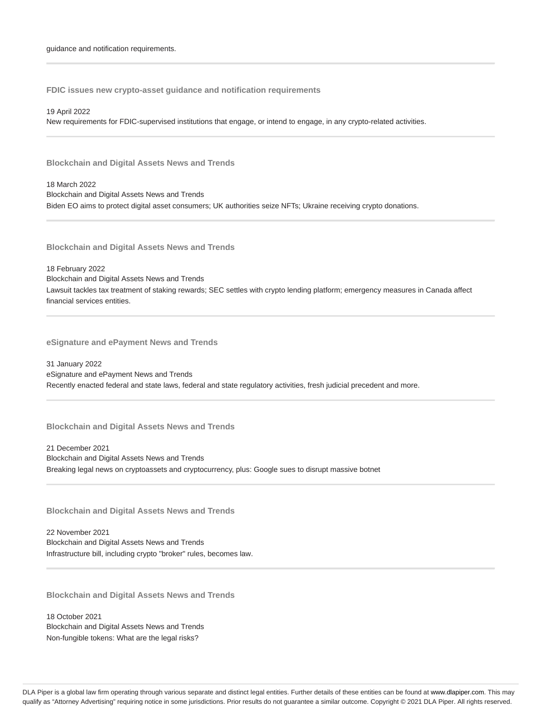**FDIC issues new crypto-asset guidance and notification requirements**

19 April 2022

New requirements for FDIC-supervised institutions that engage, or intend to engage, in any crypto-related activities.

**Blockchain and Digital Assets News and Trends**

18 March 2022 Blockchain and Digital Assets News and Trends Biden EO aims to protect digital asset consumers; UK authorities seize NFTs; Ukraine receiving crypto donations.

**Blockchain and Digital Assets News and Trends**

18 February 2022 Blockchain and Digital Assets News and Trends Lawsuit tackles tax treatment of staking rewards; SEC settles with crypto lending platform; emergency measures in Canada affect financial services entities.

**eSignature and ePayment News and Trends**

31 January 2022 eSignature and ePayment News and Trends Recently enacted federal and state laws, federal and state regulatory activities, fresh judicial precedent and more.

**Blockchain and Digital Assets News and Trends**

21 December 2021 Blockchain and Digital Assets News and Trends Breaking legal news on cryptoassets and cryptocurrency, plus: Google sues to disrupt massive botnet

**Blockchain and Digital Assets News and Trends**

22 November 2021 Blockchain and Digital Assets News and Trends Infrastructure bill, including crypto "broker" rules, becomes law.

**Blockchain and Digital Assets News and Trends**

18 October 2021 Blockchain and Digital Assets News and Trends Non-fungible tokens: What are the legal risks?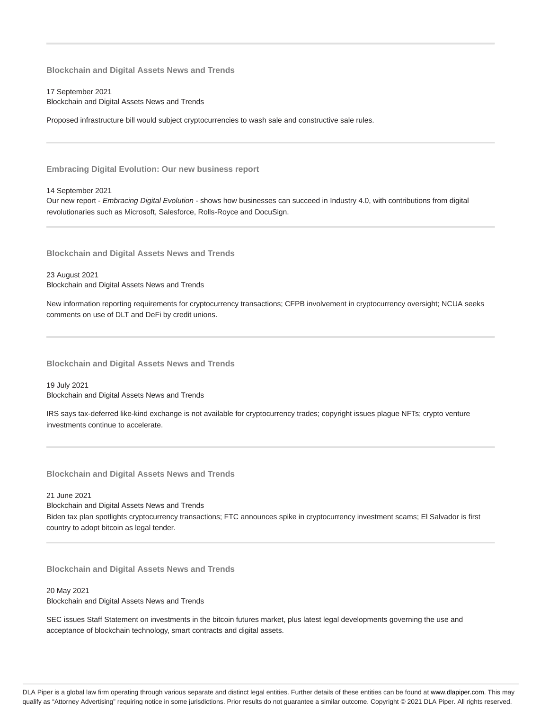**Blockchain and Digital Assets News and Trends**

17 September 2021 Blockchain and Digital Assets News and Trends

Proposed infrastructure bill would subject cryptocurrencies to wash sale and constructive sale rules.

**Embracing Digital Evolution: Our new business report**

14 September 2021

Our new report - Embracing Digital Evolution - shows how businesses can succeed in Industry 4.0, with contributions from digital revolutionaries such as Microsoft, Salesforce, Rolls-Royce and DocuSign.

**Blockchain and Digital Assets News and Trends**

23 August 2021 Blockchain and Digital Assets News and Trends

New information reporting requirements for cryptocurrency transactions; CFPB involvement in cryptocurrency oversight; NCUA seeks comments on use of DLT and DeFi by credit unions.

**Blockchain and Digital Assets News and Trends**

19 July 2021 Blockchain and Digital Assets News and Trends

IRS says tax-deferred like-kind exchange is not available for cryptocurrency trades; copyright issues plague NFTs; crypto venture investments continue to accelerate.

**Blockchain and Digital Assets News and Trends**

21 June 2021 Blockchain and Digital Assets News and Trends Biden tax plan spotlights cryptocurrency transactions; FTC announces spike in cryptocurrency investment scams; El Salvador is first country to adopt bitcoin as legal tender.

**Blockchain and Digital Assets News and Trends**

20 May 2021 Blockchain and Digital Assets News and Trends

SEC issues Staff Statement on investments in the bitcoin futures market, plus latest legal developments governing the use and acceptance of blockchain technology, smart contracts and digital assets.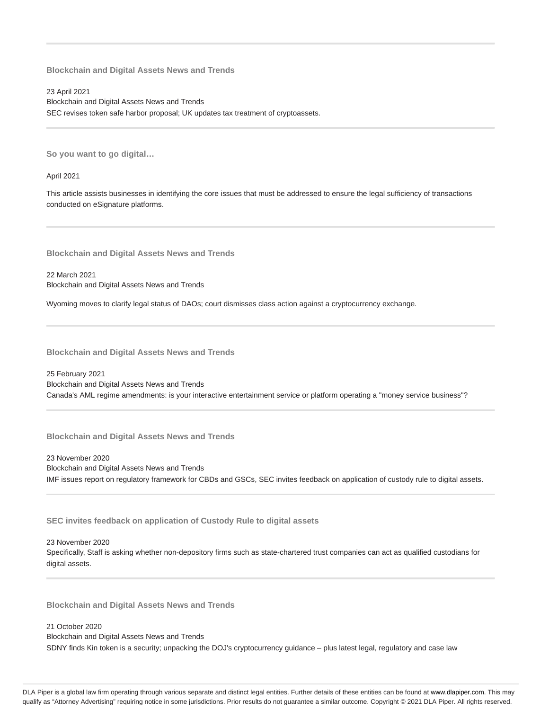**Blockchain and Digital Assets News and Trends**

23 April 2021 Blockchain and Digital Assets News and Trends SEC revises token safe harbor proposal; UK updates tax treatment of cryptoassets.

**So you want to go digital…**

April 2021

This article assists businesses in identifying the core issues that must be addressed to ensure the legal sufficiency of transactions conducted on eSignature platforms.

**Blockchain and Digital Assets News and Trends**

22 March 2021 Blockchain and Digital Assets News and Trends

Wyoming moves to clarify legal status of DAOs; court dismisses class action against a cryptocurrency exchange.

**Blockchain and Digital Assets News and Trends**

25 February 2021 Blockchain and Digital Assets News and Trends Canada's AML regime amendments: is your interactive entertainment service or platform operating a "money service business"?

**Blockchain and Digital Assets News and Trends**

23 November 2020 Blockchain and Digital Assets News and Trends IMF issues report on regulatory framework for CBDs and GSCs, SEC invites feedback on application of custody rule to digital assets.

**SEC invites feedback on application of Custody Rule to digital assets**

23 November 2020

Specifically, Staff is asking whether non-depository firms such as state-chartered trust companies can act as qualified custodians for digital assets.

**Blockchain and Digital Assets News and Trends**

21 October 2020

Blockchain and Digital Assets News and Trends SDNY finds Kin token is a security; unpacking the DOJ's cryptocurrency guidance – plus latest legal, regulatory and case law

DLA Piper is a global law firm operating through various separate and distinct legal entities. Further details of these entities can be found at www.dlapiper.com. This may qualify as "Attorney Advertising" requiring notice in some jurisdictions. Prior results do not guarantee a similar outcome. Copyright @ 2021 DLA Piper. All rights reserved.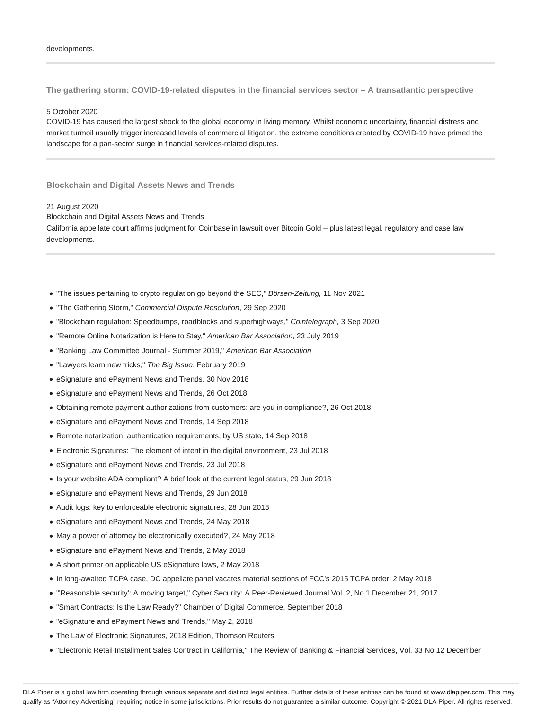**The gathering storm: COVID-19-related disputes in the financial services sector – A transatlantic perspective**

#### 5 October 2020

COVID-19 has caused the largest shock to the global economy in living memory. Whilst economic uncertainty, financial distress and market turmoil usually trigger increased levels of commercial litigation, the extreme conditions created by COVID-19 have primed the landscape for a pan-sector surge in financial services-related disputes.

#### **Blockchain and Digital Assets News and Trends**

#### 21 August 2020

Blockchain and Digital Assets News and Trends California appellate court affirms judgment for Coinbase in lawsuit over Bitcoin Gold – plus latest legal, regulatory and case law developments.

- "The issues pertaining to crypto regulation go beyond the SEC," Börsen-Zeitung, 11 Nov 2021
- "The Gathering Storm," Commercial Dispute Resolution, 29 Sep 2020
- "Blockchain regulation: Speedbumps, roadblocks and superhighways," Cointelegraph, 3 Sep 2020
- "Remote Online Notarization is Here to Stay," American Bar Association, 23 July 2019
- "Banking Law Committee Journal Summer 2019," American Bar Association
- "Lawyers learn new tricks," The Big Issue, February 2019
- eSignature and ePayment News and Trends, 30 Nov 2018
- eSignature and ePayment News and Trends, 26 Oct 2018
- Obtaining remote payment authorizations from customers: are you in compliance?, 26 Oct 2018
- eSignature and ePayment News and Trends, 14 Sep 2018
- Remote notarization: authentication requirements, by US state, 14 Sep 2018
- Electronic Signatures: The element of intent in the digital environment, 23 Jul 2018
- eSignature and ePayment News and Trends, 23 Jul 2018
- Is your website ADA compliant? A brief look at the current legal status, 29 Jun 2018
- eSignature and ePayment News and Trends, 29 Jun 2018
- Audit logs: key to enforceable electronic signatures, 28 Jun 2018
- eSignature and ePayment News and Trends, 24 May 2018
- May a power of attorney be electronically executed?, 24 May 2018
- eSignature and ePayment News and Trends, 2 May 2018
- A short primer on applicable US eSignature laws, 2 May 2018
- In long-awaited TCPA case, DC appellate panel vacates material sections of FCC's 2015 TCPA order, 2 May 2018
- "'Reasonable security': A moving target," Cyber Security: A Peer-Reviewed Journal Vol. 2, No 1 December 21, 2017
- "Smart Contracts: Is the Law Ready?" Chamber of Digital Commerce, September 2018
- "eSignature and ePayment News and Trends," May 2, 2018
- The Law of Electronic Signatures, 2018 Edition, Thomson Reuters
- "Electronic Retail Installment Sales Contract in California," The Review of Banking & Financial Services, Vol. 33 No 12 December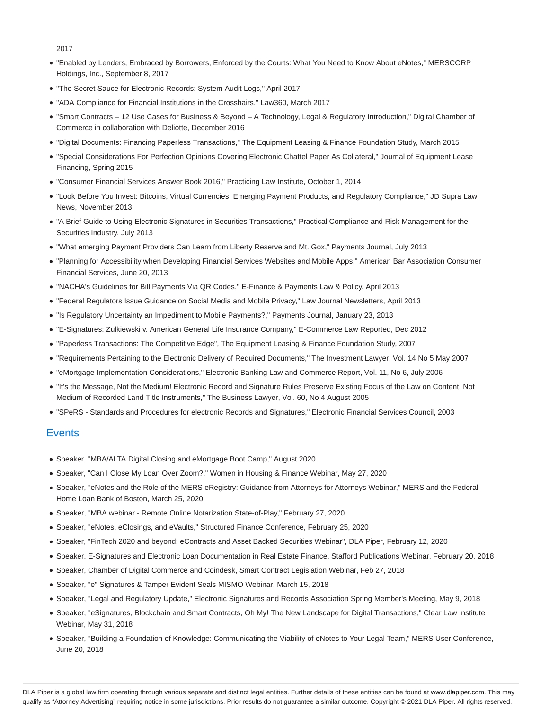2017

- "Enabled by Lenders, Embraced by Borrowers, Enforced by the Courts: What You Need to Know About eNotes," MERSCORP Holdings, Inc., September 8, 2017
- "The Secret Sauce for Electronic Records: System Audit Logs," April 2017
- "ADA Compliance for Financial Institutions in the Crosshairs," Law360, March 2017
- "Smart Contracts 12 Use Cases for Business & Beyond A Technology, Legal & Regulatory Introduction," Digital Chamber of Commerce in collaboration with Deliotte, December 2016
- "Digital Documents: Financing Paperless Transactions," The Equipment Leasing & Finance Foundation Study, March 2015
- "Special Considerations For Perfection Opinions Covering Electronic Chattel Paper As Collateral," Journal of Equipment Lease Financing, Spring 2015
- "Consumer Financial Services Answer Book 2016," Practicing Law Institute, October 1, 2014
- "Look Before You Invest: Bitcoins, Virtual Currencies, Emerging Payment Products, and Regulatory Compliance," JD Supra Law News, November 2013
- "A Brief Guide to Using Electronic Signatures in Securities Transactions," Practical Compliance and Risk Management for the Securities Industry, July 2013
- "What emerging Payment Providers Can Learn from Liberty Reserve and Mt. Gox," Payments Journal, July 2013
- "Planning for Accessibility when Developing Financial Services Websites and Mobile Apps," American Bar Association Consumer Financial Services, June 20, 2013
- "NACHA's Guidelines for Bill Payments Via QR Codes," E-Finance & Payments Law & Policy, April 2013
- "Federal Regulators Issue Guidance on Social Media and Mobile Privacy," Law Journal Newsletters, April 2013
- "Is Regulatory Uncertainty an Impediment to Mobile Payments?," Payments Journal, January 23, 2013
- "E-Signatures: Zulkiewski v. American General Life Insurance Company," E-Commerce Law Reported, Dec 2012
- "Paperless Transactions: The Competitive Edge", The Equipment Leasing & Finance Foundation Study, 2007
- "Requirements Pertaining to the Electronic Delivery of Required Documents," The Investment Lawyer, Vol. 14 No 5 May 2007
- "eMortgage Implementation Considerations," Electronic Banking Law and Commerce Report, Vol. 11, No 6, July 2006
- "It's the Message, Not the Medium! Electronic Record and Signature Rules Preserve Existing Focus of the Law on Content, Not Medium of Recorded Land Title Instruments," The Business Lawyer, Vol. 60, No 4 August 2005
- "SPeRS Standards and Procedures for electronic Records and Signatures," Electronic Financial Services Council, 2003

### **Events**

- Speaker, "MBA/ALTA Digital Closing and eMortgage Boot Camp," August 2020
- Speaker, "Can I Close My Loan Over Zoom?," Women in Housing & Finance Webinar, May 27, 2020
- Speaker, "eNotes and the Role of the MERS eRegistry: Guidance from Attorneys for Attorneys Webinar," MERS and the Federal Home Loan Bank of Boston, March 25, 2020
- Speaker, "MBA webinar Remote Online Notarization State-of-Play," February 27, 2020
- Speaker, "eNotes, eClosings, and eVaults," Structured Finance Conference, February 25, 2020
- Speaker, "FinTech 2020 and beyond: eContracts and Asset Backed Securities Webinar", DLA Piper, February 12, 2020
- Speaker, E-Signatures and Electronic Loan Documentation in Real Estate Finance, Stafford Publications Webinar, February 20, 2018
- Speaker, Chamber of Digital Commerce and Coindesk, Smart Contract Legislation Webinar, Feb 27, 2018
- Speaker, "e" Signatures & Tamper Evident Seals MISMO Webinar, March 15, 2018
- Speaker, "Legal and Regulatory Update," Electronic Signatures and Records Association Spring Member's Meeting, May 9, 2018
- Speaker, "eSignatures, Blockchain and Smart Contracts, Oh My! The New Landscape for Digital Transactions," Clear Law Institute Webinar, May 31, 2018
- Speaker, "Building a Foundation of Knowledge: Communicating the Viability of eNotes to Your Legal Team," MERS User Conference, June 20, 2018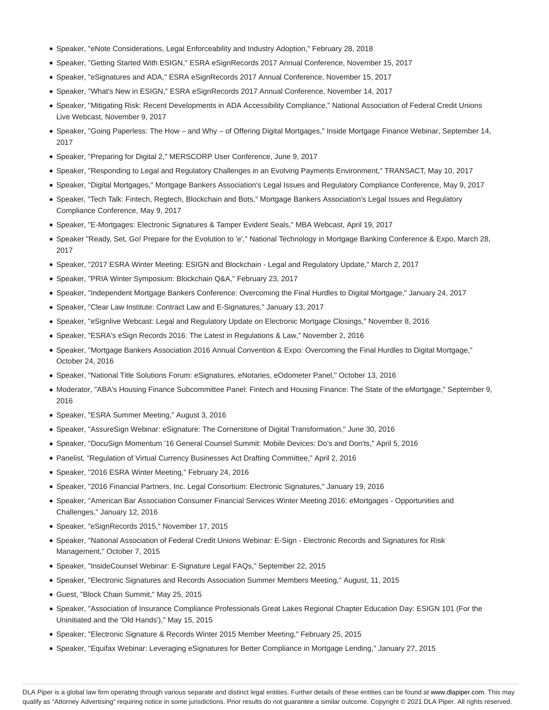- Speaker, "eNote Considerations, Legal Enforceability and Industry Adoption," February 28, 2018
- Speaker, "Getting Started With ESIGN," ESRA eSignRecords 2017 Annual Conference, November 15, 2017
- Speaker, "eSignatures and ADA," ESRA eSignRecords 2017 Annual Conference, November 15, 2017
- Speaker, "What's New in ESIGN," ESRA eSignRecords 2017 Annual Conference, November 14, 2017
- Speaker, "Mitigating Risk: Recent Developments in ADA Accessibility Compliance," National Association of Federal Credit Unions Live Webcast, November 9, 2017
- Speaker, "Going Paperless: The How and Why of Offering Digital Mortgages," Inside Mortgage Finance Webinar, September 14, 2017
- Speaker, "Preparing for Digital 2," MERSCORP User Conference, June 9, 2017
- Speaker, "Responding to Legal and Regulatory Challenges in an Evolving Payments Environment," TRANSACT, May 10, 2017
- Speaker, "Digital Mortgages," Mortgage Bankers Association's Legal Issues and Regulatory Compliance Conference, May 9, 2017
- Speaker, "Tech Talk: Fintech, Regtech, Blockchain and Bots," Mortgage Bankers Association's Legal Issues and Regulatory Compliance Conference, May 9, 2017
- Speaker, "E-Mortgages: Electronic Signatures & Tamper Evident Seals," MBA Webcast, April 19, 2017
- Speaker "Ready, Set, Go! Prepare for the Evolution to 'e'," National Technology in Mortgage Banking Conference & Expo, March 28, 2017
- Speaker, "2017 ESRA Winter Meeting: ESIGN and Blockchain Legal and Regulatory Update," March 2, 2017
- Speaker, "PRIA Winter Symposium: Blockchain Q&A," February 23, 2017
- Speaker, "Independent Mortgage Bankers Conference: Overcoming the Final Hurdles to Digital Mortgage," January 24, 2017
- Speaker, "Clear Law Institute: Contract Law and E-Signatures," January 13, 2017
- Speaker, "eSignlive Webcast: Legal and Regulatory Update on Electronic Mortgage Closings," November 8, 2016
- Speaker, "ESRA's eSign Records 2016: The Latest in Regulations & Law," November 2, 2016
- Speaker, "Mortgage Bankers Association 2016 Annual Convention & Expo: Overcoming the Final Hurdles to Digital Mortgage," October 24, 2016
- Speaker, "National Title Solutions Forum: eSignatures, eNotaries, eOdometer Panel," October 13, 2016
- Moderator, "ABA's Housing Finance Subcommittee Panel: Fintech and Housing Finance: The State of the eMortgage," September 9, 2016
- Speaker, "ESRA Summer Meeting," August 3, 2016
- Speaker, "AssureSign Webinar: eSignature: The Cornerstone of Digital Transformation," June 30, 2016
- Speaker, "DocuSign Momentum '16 General Counsel Summit: Mobile Devices: Do's and Don'ts," April 5, 2016
- Panelist, "Regulation of Virtual Currency Businesses Act Drafting Committee," April 2, 2016
- Speaker, "2016 ESRA Winter Meeting," February 24, 2016
- Speaker, "2016 Financial Partners, Inc. Legal Consortium: Electronic Signatures," January 19, 2016
- Speaker, "American Bar Association Consumer Financial Services Winter Meeting 2016: eMortgages Opportunities and Challenges," January 12, 2016
- Speaker, "eSignRecords 2015," November 17, 2015
- Speaker, "National Association of Federal Credit Unions Webinar: E-Sign Electronic Records and Signatures for Risk Management," October 7, 2015
- Speaker, "InsideCounsel Webinar: E-Signature Legal FAQs," September 22, 2015
- Speaker, "Electronic Signatures and Records Association Summer Members Meeting," August, 11, 2015
- Guest, "Block Chain Summit," May 25, 2015
- Speaker, "Association of Insurance Compliance Professionals Great Lakes Regional Chapter Education Day: ESIGN 101 (For the Uninitiated and the 'Old Hands')," May 15, 2015
- Speaker, "Electronic Signature & Records Winter 2015 Member Meeting," February 25, 2015
- Speaker, "Equifax Webinar: Leveraging eSignatures for Better Compliance in Mortgage Lending," January 27, 2015